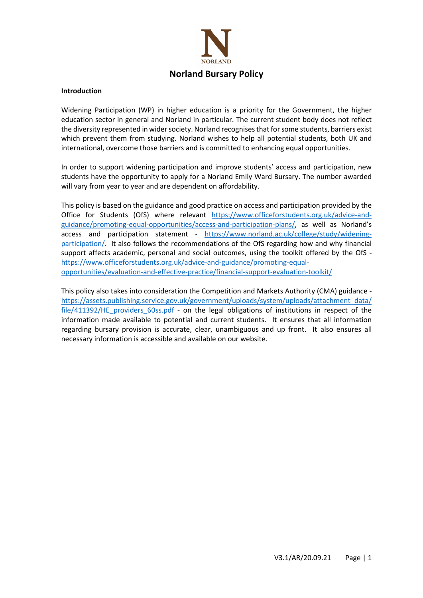

#### Introduction

Widening Participation (WP) in higher education is a priority for the Government, the higher education sector in general and Norland in particular. The current student body does not reflect the diversity represented in wider society. Norland recognises that for some students, barriers exist which prevent them from studying. Norland wishes to help all potential students, both UK and international, overcome those barriers and is committed to enhancing equal opportunities.

In order to support widening participation and improve students' access and participation, new students have the opportunity to apply for a Norland Emily Ward Bursary. The number awarded will vary from year to year and are dependent on affordability.

This policy is based on the guidance and good practice on access and participation provided by the Office for Students (OfS) where relevant https://www.officeforstudents.org.uk/advice-andguidance/promoting-equal-opportunities/access-and-participation-plans/, as well as Norland's access and participation statement - https://www.norland.ac.uk/college/study/wideningparticipation/. It also follows the recommendations of the OfS regarding how and why financial support affects academic, personal and social outcomes, using the toolkit offered by the OfS https://www.officeforstudents.org.uk/advice-and-guidance/promoting-equalopportunities/evaluation-and-effective-practice/financial-support-evaluation-toolkit/

This policy also takes into consideration the Competition and Markets Authority (CMA) guidance https://assets.publishing.service.gov.uk/government/uploads/system/uploads/attachment\_data/ file/411392/HE\_providers\_60ss.pdf - on the legal obligations of institutions in respect of the information made available to potential and current students. It ensures that all information regarding bursary provision is accurate, clear, unambiguous and up front. It also ensures all necessary information is accessible and available on our website.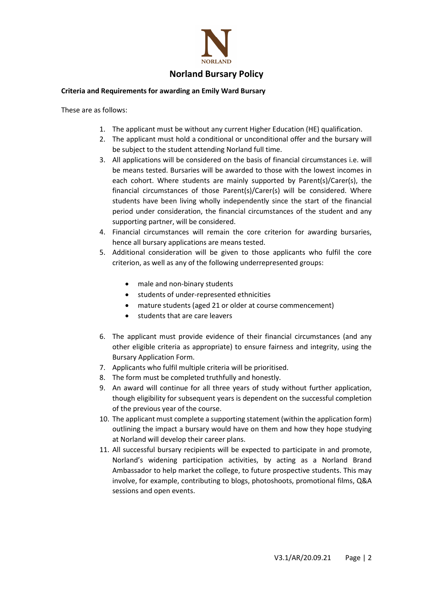

# Norland Bursary Policy

## Criteria and Requirements for awarding an Emily Ward Bursary

These are as follows:

- 1. The applicant must be without any current Higher Education (HE) qualification.
- 2. The applicant must hold a conditional or unconditional offer and the bursary will be subject to the student attending Norland full time.
- 3. All applications will be considered on the basis of financial circumstances i.e. will be means tested. Bursaries will be awarded to those with the lowest incomes in each cohort. Where students are mainly supported by Parent(s)/Carer(s), the financial circumstances of those Parent(s)/Carer(s) will be considered. Where students have been living wholly independently since the start of the financial period under consideration, the financial circumstances of the student and any supporting partner, will be considered.
- 4. Financial circumstances will remain the core criterion for awarding bursaries, hence all bursary applications are means tested.
- 5. Additional consideration will be given to those applicants who fulfil the core criterion, as well as any of the following underrepresented groups:
	- male and non-binary students
	- students of under-represented ethnicities
	- mature students (aged 21 or older at course commencement)
	- students that are care leavers
- 6. The applicant must provide evidence of their financial circumstances (and any other eligible criteria as appropriate) to ensure fairness and integrity, using the Bursary Application Form.
- 7. Applicants who fulfil multiple criteria will be prioritised.
- 8. The form must be completed truthfully and honestly.
- 9. An award will continue for all three years of study without further application, though eligibility for subsequent years is dependent on the successful completion of the previous year of the course.
- 10. The applicant must complete a supporting statement (within the application form) outlining the impact a bursary would have on them and how they hope studying at Norland will develop their career plans.
- 11. All successful bursary recipients will be expected to participate in and promote, Norland's widening participation activities, by acting as a Norland Brand Ambassador to help market the college, to future prospective students. This may involve, for example, contributing to blogs, photoshoots, promotional films, Q&A sessions and open events.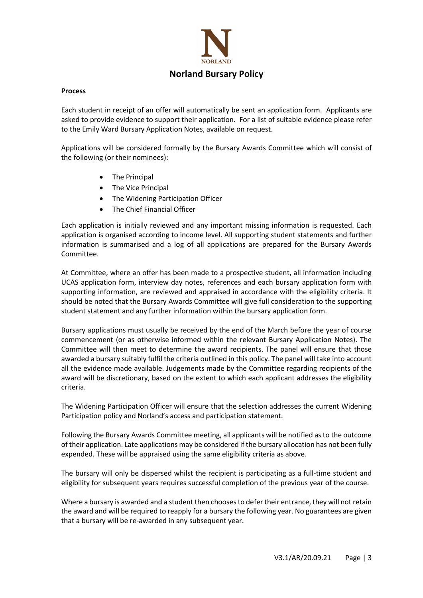

### Process

Each student in receipt of an offer will automatically be sent an application form. Applicants are asked to provide evidence to support their application. For a list of suitable evidence please refer to the Emily Ward Bursary Application Notes, available on request.

Applications will be considered formally by the Bursary Awards Committee which will consist of the following (or their nominees):

- The Principal
- The Vice Principal
- The Widening Participation Officer
- The Chief Financial Officer

Each application is initially reviewed and any important missing information is requested. Each application is organised according to income level. All supporting student statements and further information is summarised and a log of all applications are prepared for the Bursary Awards Committee.

At Committee, where an offer has been made to a prospective student, all information including UCAS application form, interview day notes, references and each bursary application form with supporting information, are reviewed and appraised in accordance with the eligibility criteria. It should be noted that the Bursary Awards Committee will give full consideration to the supporting student statement and any further information within the bursary application form.

Bursary applications must usually be received by the end of the March before the year of course commencement (or as otherwise informed within the relevant Bursary Application Notes). The Committee will then meet to determine the award recipients. The panel will ensure that those awarded a bursary suitably fulfil the criteria outlined in this policy. The panel will take into account all the evidence made available. Judgements made by the Committee regarding recipients of the award will be discretionary, based on the extent to which each applicant addresses the eligibility criteria.

The Widening Participation Officer will ensure that the selection addresses the current Widening Participation policy and Norland's access and participation statement.

Following the Bursary Awards Committee meeting, all applicants will be notified as to the outcome of their application. Late applications may be considered if the bursary allocation has not been fully expended. These will be appraised using the same eligibility criteria as above.

The bursary will only be dispersed whilst the recipient is participating as a full-time student and eligibility for subsequent years requires successful completion of the previous year of the course.

Where a bursary is awarded and a student then chooses to defer their entrance, they will not retain the award and will be required to reapply for a bursary the following year. No guarantees are given that a bursary will be re-awarded in any subsequent year.